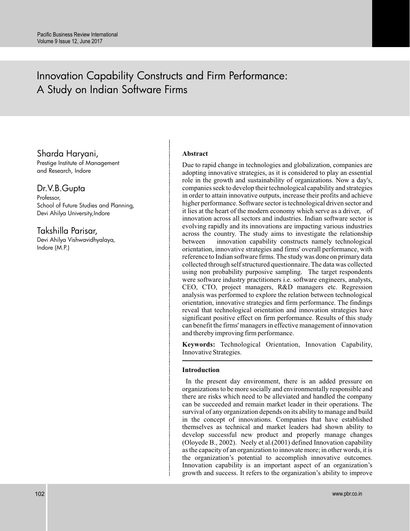# Innovation Capability Constructs and Firm Performance: A Study on Indian Software Firms

# Sharda Haryani,

Prestige Institute of Management and Research, Indore

# Dr.V.B.Gupta

Professor, School of Future Studies and Planning, Devi Ahilya University, Indore

Takshilla Parisar,

Devi Ahilya Vishwavidhyalaya, Indore (M.P.)

### **Abstract**

Due to rapid change in technologies and globalization, companies are adopting innovative strategies, as it is considered to play an essential role in the growth and sustainability of organizations. Now a day's, companies seek to develop their technological capability and strategies in order to attain innovative outputs, increase their profits and achieve higher performance. Software sector is technological driven sector and it lies at the heart of the modern economy which serve as a driver, of innovation across all sectors and industries. Indian software sector is evolving rapidly and its innovations are impacting various industries across the country. The study aims to investigate the relationship between innovation capability constructs namely technological orientation, innovative strategies and firms' overall performance, with reference to Indian software firms. The study was done on primary data collected through self structured questionnaire. The data was collected using non probability purposive sampling. The target respondents were software industry practitioners i.e. software engineers, analysts, CEO, CTO, project managers, R&D managers etc. Regression analysis was performed to explore the relation between technological orientation, innovative strategies and firm performance. The findings reveal that technological orientation and innovation strategies have significant positive effect on firm performance. Results of this study can benefit the firms' managers in effective management of innovation and thereby improving firm performance.

**Keywords:** Technological Orientation, Innovation Capability, Innovative Strategies.

### **Introduction**

In the present day environment, there is an added pressure on organizations to be more socially and environmentally responsible and there are risks which need to be alleviated and handled the company can be succeeded and remain market leader in their operations. The survival of any organization depends on its ability to manage and build in the concept of innovations. Companies that have established themselves as technical and market leaders had shown ability to develop successful new product and properly manage changes (Oloyede B., 2002). Neely et al.(2001) defined Innovation capability as the capacity of an organization to innovate more; in other words, it is the organization's potential to accomplish innovative outcomes. Innovation capability is an important aspect of an organization's growth and success. It refers to the organization's ability to improve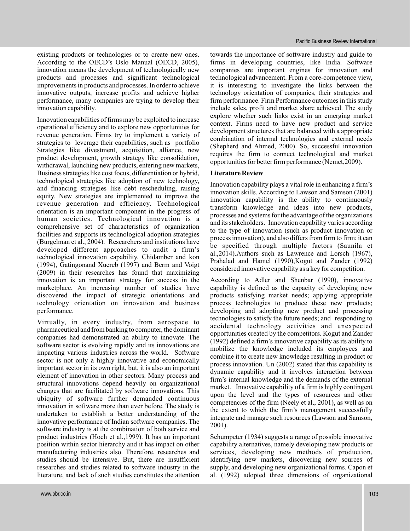existing products or technologies or to create new ones. According to the OECD's Oslo Manual (OECD, 2005), innovation means the development of technologically new products and processes and significant technological improvements in products and processes. In order to achieve innovative outputs, increase profits and achieve higher performance, many companies are trying to develop their innovation capability.

Innovation capabilities of firms may be exploited to increase operational efficiency and to explore new opportunities for revenue generation. Firms try to implement a variety of strategies to leverage their capabilities, such as portfolio Strategies like divestment, acquisition, alliance, new product development, growth strategy like consolidation, withdrawal, launching new products, entering new markets, Business strategies like cost focus, differentiation or hybrid, technological strategies like adoption of new technology, and financing strategies like debt rescheduling, raising equity. New strategies are implemented to improve the revenue generation and efficiency. Technological orientation is an important component in the progress of human societies. Technological innovation is a comprehensive set of characteristics of organization facilities and supports its technological adoption strategies (Burgelman et al., 2004). Researchers and institutions have developed different approaches to audit a firm's technological innovation capability. Chidamber and kon (1994), Gatingonand Xuereb (1997) and Berm and Voigt (2009) in their researches has found that maximizing innovation is an important strategy for success in the marketplace. An increasing number of studies have discovered the impact of strategic orientations and technology orientation on innovation and business performance.

Virtually, in every industry, from aerospace to pharmaceutical and from banking to computer, the dominant companies had demonstrated an ability to innovate. The software sector is evolving rapidly and its innovations are impacting various industries across the world. Software sector is not only a highly innovative and economically important sector in its own right, but, it is also an important element of innovation in other sectors. Many process and structural innovations depend heavily on organizational changes that are facilitated by software innovations. This ubiquity of software further demanded continuous innovation in software more than ever before. The study is undertaken to establish a better understanding of the innovative performance of Indian software companies. The software industry is at the combination of both service and product industries (Hoch et al.,1999). It has an important position within sector hierarchy and it has impact on other manufacturing industries also. Therefore, researches and studies should be intensive. But, there are insufficient researches and studies related to software industry in the literature, and lack of such studies constitutes the attention

towards the importance of software industry and guide to firms in developing countries, like India. Software companies are important engines for innovation and technological advancement. From a core-competence view, it is interesting to investigate the links between the technology orientation of companies, their strategies and firm performance. Firm Performance outcomes in this study include sales, profit and market share achieved. The study explore whether such links exist in an emerging market context. Firms need to have new product and service development structures that are balanced with a appropriate combination of internal technologies and external needs (Shepherd and Ahmed, 2000). So, successful innovation requires the firm to connect technological and market opportunities for better firm performance (Nemet,2009).

### **Literature Review**

Innovation capability plays a vital role in enhancing a firm's innovation skills. According to Lawson and Samson (2001) innovation capability is the ability to continuously transform knowledge and ideas into new products, processes and systems for the advantage of the organizations and its stakeholders. Innovation capability varies according to the type of innovation (such as product innovation or process innovation), and also differs from firm to firm; it can be specified through multiple factors (Saunila et al.,2014).Authors such as Lawrence and Lorsch (1967), Prahalad and Hamel (1990),Kogut and Zander (1992) considered innovative capability as a key for competition.

According to Adler and Shenbar (1990), innovative capability is defined as the capacity of developing new products satisfying market needs; applying appropriate process technologies to produce these new products; developing and adopting new product and processing technologies to satisfy the future needs; and responding to accidental technology activities and unexpected opportunities created by the competitors. Kogut and Zander (1992) defined a firm's innovative capability as its ability to mobilize the knowledge included its employees and combine it to create new knowledge resulting in product or process innovation. Un (2002) stated that this capability is dynamic capability and it involves interaction between firm's internal knowledge and the demands of the external market. Innovative capability of a firm is highly contingent upon the level and the types of resources and other competencies of the firm (Neely et al., 2001), as well as on the extent to which the firm's management successfully integrate and manage such resources (Lawson and Samson, 2001).

Schumpeter (1934) suggests a range of possible innovative capability alternatives, namely developing new products or services, developing new methods of production, identifying new markets, discovering new sources of supply, and developing new organizational forms. Capon et al. (1992) adopted three dimensions of organizational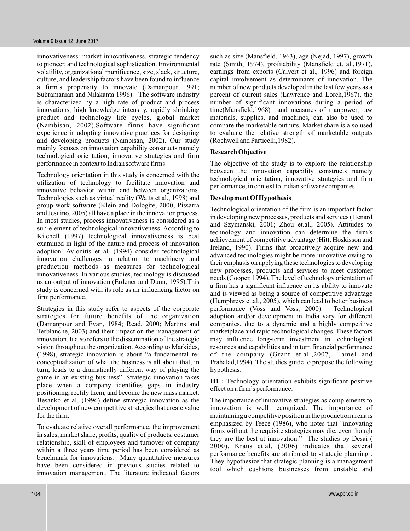innovativeness: market innovativeness, strategic tendency to pioneer, and technological sophistication. Environmental volatility, organizational munificence, size, slack, structure, culture, and leadership factors have been found to influence a firm's propensity to innovate (Damanpour 1991; Subramanian and Nilakanta 1996). The software industry is characterized by a high rate of product and process innovations, high knowledge intensity, rapidly shrinking product and technology life cycles, global market (Nambisan, 2002).Software firms have significant experience in adopting innovative practices for designing and developing products (Nambisan, 2002). Our study mainly focuses on innovation capability constructs namely technological orientation, innovative strategies and firm performance in context to Indian software firms.

Technology orientation in this study is concerned with the utilization of technology to facilitate innovation and innovative behavior within and between organizations. Technologies such as virtual reality (Watts et al., 1998) and group work software (Klein and Dologite, 2000; Pissarra and Jesuino, 2005) all have a place in the innovation process. In most studies, process innovativeness is considered as a sub-element of technological innovativeness. According to Kitchell (1997) technological innovativeness is best examined in light of the nature and process of innovation adoption. Avlonitis et al. (1994) consider technological innovation challenges in relation to machinery and production methods as measures for technological innovativeness. In various studies, technology is discussed as an output of innovation (Erdener and Dunn, 1995).This study is concerned with its role as an influencing factor on firm performance.

Strategies in this study refer to aspects of the corporate strategies for future benefits of the organization (Damanpour and Evan, 1984; Read, 2000; Martins and Terblanche, 2003) and their impact on the management of innovation. It also refers to the dissemination of the strategic vision throughout the organization. According to Markides, (1998), strategic innovation is about "a fundamental reconceptualization of what the business is all about that, in turn, leads to a dramatically different way of playing the game in an existing business". Strategic innovation takes place when a company identifies gaps in industry positioning, rectify them, and become the new mass market. Besanko et al. (1996) define strategic innovation as the development of new competitive strategies that create value for the firm.

To evaluate relative overall performance, the improvement in sales, market share, profits, quality of products, costumer relationship, skill of employees and turnover of company within a three years time period has been considered as benchmark for innovations. Many quantitative measures have been considered in previous studies related to innovation management. The literature indicated factors

such as size (Mansfield, 1963), age (Nejad, 1997), growth rate (Smith, 1974), profitability (Mansfield et. al.,1971), earnings from exports (Calvert et al., 1996) and foreign capital involvement as determinants of innovation. The number of new products developed in the last few years as a percent of current sales (Lawrence and Lorch,1967), the number of significant innovations during a period of time(Mansfield,1968) and measures of manpower, raw materials, supplies, and machines, can also be used to compare the marketable outputs. Market share is also used to evaluate the relative strength of marketable outputs (Rochwell and Particelli,1982).

### **Research Objective**

The objective of the study is to explore the relationship between the innovation capability constructs namely technological orientation, innovative strategies and firm performance, in context to Indian software companies.

### **Development Of Hypothesis**

Technological orientation of the firm is an important factor in developing new processes, products and services (Henard and Szymanski, 2001; Zhou et.al., 2005). Attitudes to technology and innovation can determine the firm's achievement of competitive advantage (Hitt, Hoskisson and Ireland, 1990). Firms that proactively acquire new and advanced technologies might be more innovative owing to their emphasis on applying these technologies to developing new processes, products and services to meet customer needs (Cooper, 1994). The level of technology orientation of a firm has a significant influence on its ability to innovate and is viewed as being a source of competitive advantage (Humphreys et.al., 2005), which can lead to better business performance (Voss and Voss, 2000). Technological adoption and/or development in India vary for different companies, due to a dynamic and a highly competitive marketplace and rapid technological changes. These factors may influence long-term investment in technological resources and capabilities and in turn financial performance of the company (Grant et.al.,2007, Hamel and Prahalad,1994). The studies guide to propose the following hypothesis:

H1 : Technology orientation exhibits significant positive effect on a firm's performance.

The importance of innovative strategies as complements to innovation is well recognized. The importance of maintaining a competitive position in the production arena is emphasized by Teece (1986), who notes that "innovating firms without the requisite strategies may die, even though they are the best at innovation." The studies by Desai ( 2000), Kraus et.al, (2006) indicates that several performance benefits are attributed to strategic planning . They hypothesize that strategic planning is a management tool which cushions businesses from unstable and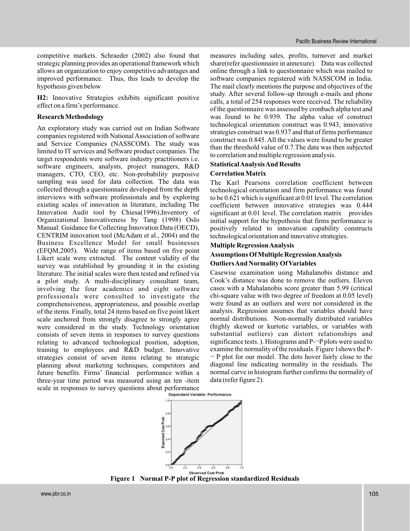competitive markets. Schraeder (2002) also found that strategic planning provides an operational framework which allows an organization to enjoy competitive advantages and improved performance. Thus, this leads to develop the hypothesis given below

H2: Innovative Strategies exhibits significant positive effect on a firm's performance.

### **Research Methodology**

An exploratory study was carried out on Indian Software companies registered with National Association of software and Service Companies (NASSCOM). The study was limited to IT services and Software product companies. The target respondents were software industry practitioners i.e. software engineers, analysts, project managers, R&D managers, CTO, CEO, etc. Non-probability purposive sampling was used for data collection. The data was collected through a questionnaire developed from the depth interviews with software professionals and by exploring existing scales of innovation in literature, including The Innovation Audit tool by Chiesa(1996),Inventory of Organizational Innovativeness by Tang (1998) Oslo Manual: Guidance for Collecting Innovation Data (OECD), CENTRIM innovation tool (McAdam et al., 2004) and the Business Excellence Model for small businesses (EFQM,2005). Wide range of items based on five point Likert scale were extracted. The content validity of the survey was established by grounding it in the existing literature. The initial scales were then tested and refined via a pilot study. A multi-disciplinary consultant team, involving the four academics and eight software professionals were consulted to investigate the comprehensiveness, appropriateness, and possible overlap of the items. Finally, total 24 items based on five point likert scale anchored from strongly disagree to strongly agree were considered in the study. Technology orientation consists of seven items in responses to survey questions relating to advanced technological position, adoption, training to employees and R&D budget. Innovative strategies consist of seven items relating to strategic planning about marketing techniques, competitors and future benefits. Firms' financial performance within a three-year time period was measured using an ten -item scale in responses to survey questions about performance<br> **Dependent Variable: Performance** 

measures including sales, profits, turnover and market share(refer questionnaire in annexure). Data was collected online through a link to questionnaire which was mailed to software companies registered with NASSCOM in India. The mail clearly mentions the purpose and objectives of the study. After several follow-up through e-mails and phone calls, a total of 254 responses were received. The reliability of the questionnaire was assessed by cronbach alpha test and was found to be 0.939. The alpha value of construct technological orientation construct was 0.943, innovative strategies construct was 0.937 and that of firms performance construct was 0.845. All the values were found to be greater than the threshold value of 0.7.The data was then subjected to correlation and multiple regression analysis.

### **StatisticalAnalysisAnd Results**

### **Correlation Matrix**

The Karl Pearsons correlation coefficient between technological orientation and firm performance was found to be 0.621 which is significant at 0.01 level. The correlation coefficient between innovative strategies was 0.444 significant at 0.01 level. The correlation matrix provides initial support for the hypothesis that firms performance is positively related to innovation capability constructs technological orientation and innovative strategies.

### **Multiple RegressionAnalysis**

### **Assumptions Of Multiple RegressionAnalysis**

### **OutliersAnd Normality Of Variables**

Casewise examination using Mahalanobis distance and Cook's distance was done to remove the outliers. Eleven cases with a Mahalanobis score greater than 5.99 (critical chi-square value with two degree of freedom at 0.05 level) were found as an outliers and were not considered in the analysis. Regression assumes that variables should have normal distributions. Non-normally distributed variables (highly skewed or kurtotic variables, or variables with substantial outliers) can distort relationships and significance tests. ). Histograms and P-¬P plots were used to examine the normality of the residuals. Figure 1shows the P-  $\neg$  P plot for our model. The dots hover fairly close to the diagonal line indicating normality in the residuals. The normal curve in histogram further confirms the normality of data (refer figure 2).



**Figure 1 Normal P-P plot of Regression standardized Residuals**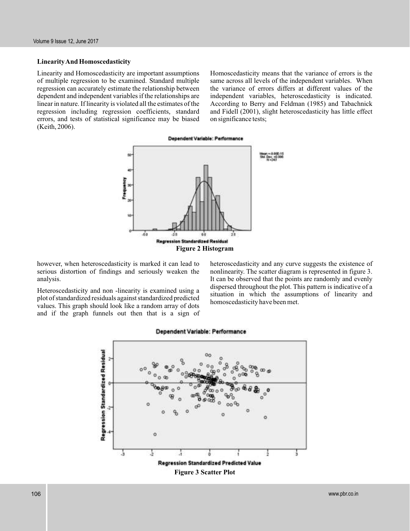### **LinearityAnd Homoscedasticity**

Linearity and Homoscedasticity are important assumptions of multiple regression to be examined. Standard multiple regression can accurately estimate the relationship between dependent and independent variables if the relationships are linear in nature. If linearity is violated all the estimates of the regression including regression coefficients, standard errors, and tests of statistical significance may be biased (Keith, 2006).

Homoscedasticity means that the variance of errors is the same across all levels of the independent variables. When the variance of errors differs at different values of the independent variables, heteroscedasticity is indicated. According to Berry and Feldman (1985) and Tabachnick and Fidell (2001), slight heteroscedasticity has little effect on significance tests;





however, when heteroscedasticity is marked it can lead to serious distortion of findings and seriously weaken the analysis.

Heteroscedasticity and non -linearity is examined using a plot of standardized residuals against standardized predicted values. This graph should look like a random array of dots and if the graph funnels out then that is a sign of heteroscedasticity and any curve suggests the existence of nonlinearity. The scatter diagram is represented in figure 3. It can be observed that the points are randomly and evenly dispersed throughout the plot. This pattern is indicative of a situation in which the assumptions of linearity and homoscedasticity have been met.



#### Dependent Variable: Performance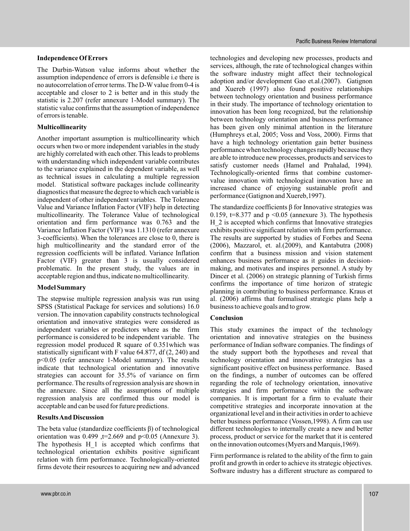### **Independence Of Errors**

The Durbin-Watson value informs about whether the assumption independence of errors is defensible i.e there is no autocorrelation of error terms. The D-W value from 0-4 is acceptable and closer to 2 is better and in this study the statistic is 2.207 (refer annexure 1-Model summary). The statistic value confirms that the assumption of independence of errors is tenable.

### **Multicollinearity**

Another important assumption is multicollinearity which occurs when two or more independent variables in the study are highly correlated with each other. This leads to problems with understanding which independent variable contributes to the variance explained in the dependent variable, as well as technical issues in calculating a multiple regression model. Statistical software packages include collinearity diagnostics that measure the degree to which each variable is independent of other independent variables. The Tolerance Value and Variance Inflation Factor (VIF) help in detecting multicollinearity. The Tolerance Value of technological orientation and firm performance was 0.763 and the Variance Inflation Factor (VIF) was 1.1310 (refer annexure 3-coefficients). When the tolerances are close to 0, there is high multicollinearity and the standard error of the regression coefficients will be inflated. Variance Inflation Factor (VIF) greater than 3 is usually considered problematic. In the present study, the values are in acceptable region and thus, indicate no multicollinearity.

### **Model Summary**

The stepwise multiple regression analysis was run using SPSS (Statistical Package for services and solutions) 16.0 version. The innovation capability constructs technological orientation and innovative strategies were considered as independent variables or predictors where as the firm performance is considered to be independent variable. The regression model produced R square of 0.351which was statistically significant with F value 64.877, df (2, 240) and p<0.05 (refer annexure 1-Model summary). The results indicate that technological orientation and innovative strategies can account for 35.5% of variance on firm performance. The results of regression analysis are shown in the annexure. Since all the assumptions of multiple regression analysis are confirmed thus our model is acceptable and can be used for future predictions.

### **ResultsAnd Discussion**

The beta value (standardize coefficients β) of technological orientation was  $0.499$ , t=2.669 and p<0.05 (Annexure 3). The hypothesis H 1 is accepted which confirms that technological orientation exhibits positive significant relation with firm performance. Technologically-oriented firms devote their resources to acquiring new and advanced

technologies and developing new processes, products and services, although, the rate of technological changes within the software industry might affect their technological adoption and/or development Gao et.al.(2007). Gatignon and Xuereb (1997) also found positive relationships between technology orientation and business performance in their study. The importance of technology orientation to innovation has been long recognized, but the relationship between technology orientation and business performance has been given only minimal attention in the literature (Humphreys et.al, 2005; Voss and Voss, 2000). Firms that have a high technology orientation gain better business performance when technology changes rapidly because they are able to introduce new processes, products and services to satisfy customer needs (Hamel and Prahalad, 1994). Technologically-oriented firms that combine customervalue innovation with technological innovation have an increased chance of enjoying sustainable profit and performance (Gatignon and Xuereb,1997).

The standardize coefficients β for Innovative strategies was 0.159, t=8.377 and  $p \le 0.05$  (annexure 3). The hypothesis H 2 is accepted which confirms that Innovative strategies exhibits positive significant relation with firm performance. The results are supported by studies of Forbes and Seena (2006), Mazzarol, et. al.(2009), and Kantabutra (2008) confirm that a business mission and vision statement enhances business performance as it guides in decisionmaking, and motivates and inspires personnel. A study by Dincer et al. (2006) on strategic planning of Turkish firms confirms the importance of time horizon of strategic planning in contributing to business performance. Kraus et al. (2006) affirms that formalised strategic plans help a business to achieve goals and to grow.

### **Conclusion**

This study examines the impact of the technology orientation and innovative strategies on the business performance of Indian software companies. The findings of the study support both the hypotheses and reveal that technology orientation and innovative strategies has a significant positive effect on business performance. Based on the findings, a number of outcomes can be offered regarding the role of technology orientation, innovative strategies and firm performance within the software companies. It is important for a firm to evaluate their competitive strategies and incorporate innovation at the organizational level and in their activities in order to achieve better business performance (Vossen,1998). A firm can use different technologies to internally create a new and better process, product or service for the market that it is centered on the innovation outcomes (Myers and Marquis,1969).

Firm performance is related to the ability of the firm to gain profit and growth in order to achieve its strategic objectives. Software industry has a different structure as compared to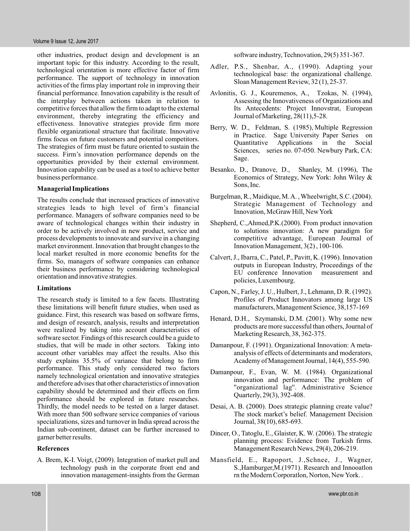other industries, product design and development is an important topic for this industry. According to the result, technological orientation is more effective factor of firm performance. The support of technology in innovation activities of the firms play important role in improving their financial performance. Innovation capability is the result of the interplay between actions taken in relation to competitive forces that allow the firm to adapt to the external environment, thereby integrating the efficiency and effectiveness. Innovative strategies provide firm more flexible organizational structure that facilitate. Innovative firms focus on future customers and potential competitors. The strategies of firm must be future oriented to sustain the success. Firm's innovation performance depends on the opportunities provided by their external environment. Innovation capability can be used as a tool to achieve better business performance.

### **Managerial Implications**

The results conclude that increased practices of innovative strategies leads to high level of firm's financial performance. Managers of software companies need to be aware of technological changes within their industry in order to be actively involved in new product, service and process developments to innovate and survive in a changing market environment. Innovation that brought changes to the local market resulted in more economic benefits for the firms. So, managers of software companies can enhance their business performance by considering technological orientation and innovative strategies.

### **Limitations**

The research study is limited to a few facets. Illustrating these limitations will benefit future studies, when used as guidance. First, this research was based on software firms, and design of research, analysis, results and interpretation were realized by taking into account characteristics of software sector. Findings of this research could be a guide to studies, that will be made in other sectors. Taking into account other variables may affect the results. Also this study explains 35.5% of variance that belong to firm performance. This study only considered two factors namely technological orientation and innovative strategies and therefore advises that other characteristics of innovation capability should be determined and their effects on firm performance should be explored in future researches. Thirdly, the model needs to be tested on a larger dataset. With more than 500 software service companies of various specializations, sizes and turnover in India spread across the Indian sub-continent, dataset can be further increased to garner better results.

### **References**

A. Brem, K-I. Voigt, (2009). Integration of market pull and technology push in the corporate front end and innovation management-insights from the German software industry, Technovation, 29(5) 351-367.

- Adler, P.S., Shenbar, A., (1990). Adapting your technological base: the organizational challenge. Sloan Management Review, 32 (1), 25-37.
- Avlonitis, G. J., Kouremenos, A., Tzokas, N. (1994), Assessing the Innovativeness of Organizations and Its Antecedents: Project Innovstrat, European Journal of Marketing, 28(11),5-28.
- Berry, W. D., Feldman, S. (1985), Multiple Regression in Practice. Sage University Paper Series on Quantitative Applications in the Social Sciences, series no. 07-050. Newbury Park, CA: Sage.
- Besanko, D., Dranove, D., Shanley, M. (1996), The Economics of Strategy, New York: John Wiley & Sons, Inc.
- Burgelman, R., Maidique, M.A. , Wheelwright, S.C. (2004). Strategic Management of Technology and Innovation, McGraw Hill, NewYork
- Shepherd, C.,Ahmed,P.K.(2000). From product innovation to solutions innovation: A new paradigm for competitive advantage, European Journal of Innovation Management, 3(2) , 100-106.
- Calvert, J., Ibarra, C., Patel, P., Pavitt, K. (1996). Innovation outputs in European Industry, Proceedings of the EU conference Innovation measurement and policies, Luxembourg.
- Capon, N., Farley, J. U., Hulbert, J., Lehmann, D. R. (1992). Profiles of Product Innovators among large US manufacturers, Management Science, 38,157-169
- Henard, D.H., Szymanski, D.M. (2001). Why some new products are more successful than others, Journal of Marketing Research, 38, 362-375.
- Damanpour, F. (1991). Organizational Innovation: A metaanalysis of effects of determinants and moderators, Academy of Management Journal, 14(4), 555-590.
- Damanpour, F., Evan, W. M. (1984). Organizational innovation and performance: The problem of ''organizational lag''. Administrative Science Quarterly, 29(3), 392-408.
- Desai, A. B. (2000). Does strategic planning create value? The stock market's belief. Management Decision Journal, 38(10), 685-693.
- Dincer, O., Tatoglu, E., Glaister, K. W. (2006). The strategic planning process: Evidence from Turkish firms. Management Research News, 29(4), 206-219.
- Mansfield, E., Rapoport, J.,Schnee, J., Wagner, S.,Hamburger,M.(1971). Research and Innooatlon rn the Modern Corporatlon, Norton, NewYork. .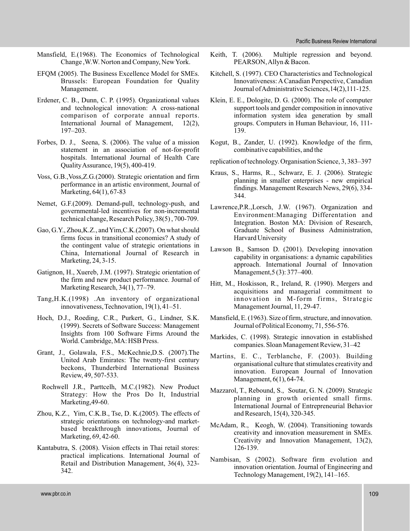- Mansfield, E.(1968). The Economics of Technological Change ,W.W. Norton and Company, NewYork.
- EFQM (2005). The Business Excellence Model for SMEs. Brussels: European Foundation for Quality Management.
- Erdener, C. B., Dunn, C. P. (1995). Organizational values and technological innovation: A cross-national comparison of corporate annual reports. International Journal of Management, 12(2), 197–203.
- Forbes, D. J., Seena, S. (2006). The value of a mission statement in an association of not-for-profit hospitals. International Journal of Health Care QualityAssurance, 19(5), 400-419.
- Voss, G.B.,Voss,Z.G.(2000). Strategic orientation and firm performance in an artistic environment, Journal of Marketing, 64(1), 67-83
- Nemet, G.F.(2009). Demand-pull, technology-push, and governmental-led incentives for non-incremental technical change, Research Policy, 38(5) , 700-709.
- Gao, G.Y., Zhou,K.Z., andYim,C.K.(2007). On what should firms focus in transitional economies? A study of the contingent value of strategic orientations in China, International Journal of Research in Marketing, 24, 3-15.
- Gatignon, H., Xuereb, J.M. (1997). Strategic orientation of the firm and new product performance. Journal of Marketing Research, 34(1), 77–79.
- Tang,H.K.(1998) .An inventory of organizational innovativeness, Technovation, 19(1), 41–51.
- Hoch, D.J., Roeding, C.R., Purkert, G., Lindner, S.K. (1999). Secrets of Software Success: Management Insights from 100 Software Firms Around the World. Cambridge, MA: HSB Press.
- Grant, J., Golawala, F.S., McKechnie,D.S. (2007).The United Arab Emirates: The twenty-first century beckons, Thunderbird International Business Review, 49, 507-533.
	- Rochwell J.R., Parttcelh, M.C.(1982). New Product Strategy: How the Pros Do It, Industrial Marketing, 49-60.
- Zhou, K.Z., Yim, C.K.B., Tse, D. K.(2005). The effects of strategic orientations on technology-and marketbased breakthrough innovations, Journal of Marketing, 69, 42-60.
- Kantabutra, S. (2008). Vision effects in Thai retail stores: practical implications. International Journal of Retail and Distribution Management, 36(4), 323- 342.
- Keith, T. (2006). Multiple regression and beyond. PEARSON,Allyn & Bacon.
- Kitchell, S. (1997). CEO Characteristics and Technological Innovativeness: A Canadian Perspective, Canadian Journal ofAdministrative Sciences,14(2),111-125.
- Klein, E. E., Dologite, D. G. (2000). The role of computer support tools and gender composition in innovative information system idea generation by small groups. Computers in Human Behaviour, 16, 111- 139.
- Kogut, B., Zander, U. (1992). Knowledge of the firm, combinative capabilities, and the
- replication of technology. Organisation Science, 3, 383–397
- Kraus, S., Harms, R.., Schwarz, E. J. (2006). Strategic planning in smaller enterprises - new empirical findings. Management Research News, 29(6), 334- 344.
- Lawrence,P.R.,Lorsch, J.W. (1967). Organization and Environment:Managing Differentation and Integration. Boston MA: Division of Research, Graduate School of Business Administration, Harvard University
- Lawson B., Samson D. (2001). Developing innovation capability in organisations: a dynamic capabilities approach. International Journal of Innovation Management,5 (3): 377–400.
- Hitt, M., Hoskisson, R., Ireland, R. (1990). Mergers and acquisitions and managerial commitment to innovation in M-form firms, Strategic Management Journal, 11, 29-47.
- Mansfield, E. (1963). Size of firm, structure, and innovation. Journal of Political Economy, 71, 556-576.
- Markides, C. (1998). Strategic innovation in established companies. Sloan Management Review, 31–42
- Martins, E. C., Terblanche, F. (2003). Building organisational culture that stimulates creativity and innovation. European Journal of Innovation Management, 6(1), 64-74.
- Mazzarol, T., Rebound, S., Soutar, G. N. (2009). Strategic planning in growth oriented small firms. International Journal of Entrepreneurial Behavior and Research, 15(4), 320-345.
- McAdam, R., Keogh, W. (2004). Transitioning towards creativity and innovation measurement in SMEs. Creativity and Innovation Management, 13(2), 126-139.
- Nambisan, S (2002). Software firm evolution and innovation orientation. Journal of Engineering and Technology Management, 19(2), 141–165.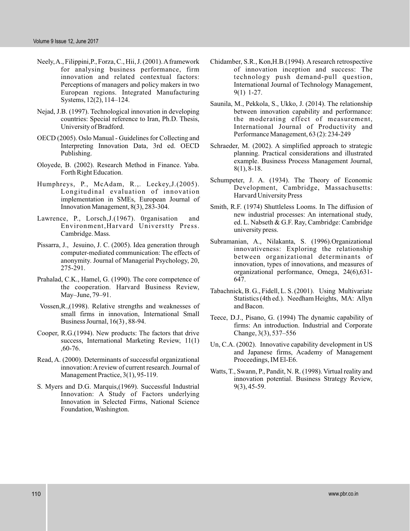- Neely, A., Filippini, P., Forza, C., Hii, J. (2001). A framework for analysing business performance, firm innovation and related contextual factors: Perceptions of managers and policy makers in two European regions. Integrated Manufacturing Systems, 12(2), 114–124.
- Nejad, J.B. (1997). Technological innovation in developing countries: Special reference to Iran, Ph.D. Thesis, University of Bradford.
- OECD (2005). Oslo Manual Guidelines for Collecting and Interpreting Innovation Data, 3rd ed. OECD Publishing.
- Oloyede, B. (2002). Research Method in Finance. Yaba. Forth Right Education.
- Humphreys, P., McAdam, R.,. Leckey,J.(2005). Longitudinal evaluation of innovation implementation in SMEs, European Journal of Innovation Management, 8(3), 283-304.
- Lawrence, P., Lorsch,J.(1967). 0rganisation and Environment,Harvard Universtty Press. Cambridge. Mass.
- Pissarra, J., Jesuino, J. C. (2005). Idea generation through computer-mediated communication: The effects of anonymity. Journal of Managerial Psychology, 20, 275-291.
- Prahalad, C.K., Hamel, G. (1990). The core competence of the cooperation. Harvard Business Review, May–June, 79–91.
- Vossen,R.,(1998). Relative strengths and weaknesses of small firms in innovation, International Small Business Journal, 16(3) , 88-94.
- Cooper, R.G.(1994). New products: The factors that drive success, International Marketing Review, 11(1) ,60-76.
- Read, A. (2000). Determinants of successful organizational innovation:Areview of current research. Journal of Management Practice, 3(1), 95-119.
- S. Myers and D.G. Marquis,(1969). Successful Industrial Innovation: A Study of Factors underlying Innovation in Selected Firms, National Science Foundation, Washington.
- Chidamber, S.R., Kon,H.B.(1994). A research retrospective of innovation inception and success: The technology push demand-pull question, International Journal of Technology Management, 9(1) 1-27.
- Saunila, M., Pekkola, S., Ukko, J. (2014). The relationship between innovation capability and performance: the moderating effect of measurement, International Journal of Productivity and Performance Management, 63 (2): 234-249
- Schraeder, M. (2002). A simplified approach to strategic planning. Practical considerations and illustrated example. Business Process Management Journal, 8(1), 8-18.
- Schumpeter, J. A. (1934). The Theory of Economic Development, Cambridge, Massachusetts: Harvard University Press
- Smith, R.F. (1974) Shuttleless Looms. In The diffusion of new industrial processes: An international study, ed. L. Nabseth & G.F. Ray, Cambridge: Cambridge university press.
- Subramanian, A., Nilakanta, S. (1996).Organizational innovativeness: Exploring the relationship between organizational determinants of innovation, types of innovations, and measures of organizational performance, Omega, 24(6),631- 647.
- Tabachnick, B. G., Fidell, L. S. (2001). Using Multivariate Statistics (4th ed.). Needham Heights, MA: Allyn and Bacon.
- Teece, D.J., Pisano, G. (1994) The dynamic capability of firms: An introduction. Industrial and Corporate Change, 3(3), 537–556
- Un, C.A. (2002). Innovative capability development in US and Japanese firms, Academy of Management Proceedings, IM El-E6.
- Watts, T., Swann, P., Pandit, N. R. (1998). Virtual reality and innovation potential. Business Strategy Review, 9(3), 45-59.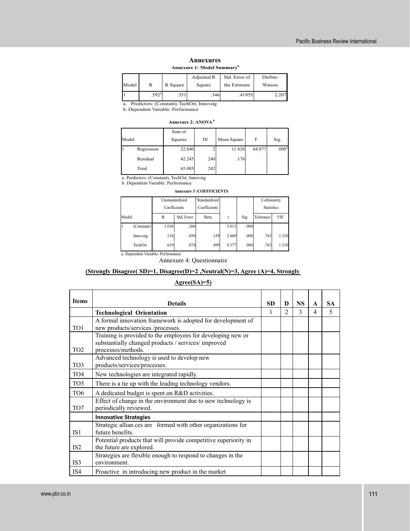| <b>Annexures</b>                       |  |  |  |  |  |
|----------------------------------------|--|--|--|--|--|
| Annexure 1: Model Summary <sup>b</sup> |  |  |  |  |  |

|       |                   |          | Adjusted R<br>Std. Error of |              | Durbin- |
|-------|-------------------|----------|-----------------------------|--------------|---------|
| Model |                   | R Square | Square                      | the Estimate | Watson  |
|       | .592 <sup>a</sup> | .351     | .346                        | .41955       | 2.207   |

a. Predictors: (Constant), TechOrt, Innovstg

b. Dependent Variable: Performance

### **Annexure 2: ANOVA<sup>b</sup>**

| Model |            | Sum of<br>Squares | Df  | Mean Square | F      | Sig.              |
|-------|------------|-------------------|-----|-------------|--------|-------------------|
|       | Regression | 22.840            |     | 11.420      | 64.877 | .000 <sup>a</sup> |
|       | Residual   | 42.245            | 240 | .176        |        |                   |
|       | Total      | 65.085            | 242 |             |        |                   |

a. Predictors: (Constant), TechOrt, Innovstg b. Dependent Variable: Performance

#### **Annexure 3 :COEFFICIENTS**

|                                    |            |              | Unstandardized | Standardized |       |                   | Collinearity     |       |
|------------------------------------|------------|--------------|----------------|--------------|-------|-------------------|------------------|-------|
|                                    |            | Coefficients |                | Coefficients |       | <b>Statistics</b> |                  |       |
| Model                              |            | B            | Std. Error     | Beta         | t     | Sig.              | VIF<br>Tolerance |       |
|                                    | (Constant) | 1.030        | .206           |              | 5.013 | .000              |                  |       |
|                                    | Innovstg   | .134         | .050           | .159         | 2.669 | .008              | .763             | 1.310 |
|                                    | TechOrt    | .619         | .074           | .499         | 8.377 | .000              | .763             | 1.310 |
| a. Dependent Variable: Performance |            |              |                |              |       |                   |                  |       |

Annexure 4: Questionnaire

### **(Strongly Disagree( SD)=1, Disagree(D)=2 ,Neutral(N)=3, Agree (A)=4, Strongly**

## **Agree(SA)=5)**

| <b>Items</b>    | <b>Details</b>                                                                                                                           | <b>SD</b> | D              | <b>NS</b> | A | <b>SA</b> |
|-----------------|------------------------------------------------------------------------------------------------------------------------------------------|-----------|----------------|-----------|---|-----------|
|                 | <b>Technological Orientation</b>                                                                                                         | 1         | $\mathfrak{D}$ | 3         | 4 | 5         |
| TO1             | A formal innovation framework is adopted for development of<br>new products/services /processes.                                         |           |                |           |   |           |
| TO <sub>2</sub> | Training is provided to the employees for developing new or<br>substantially changed products / services/ improved<br>processes/methods. |           |                |           |   |           |
| TO <sub>3</sub> | Advanced technology is used to develop new<br>products/services/processes.                                                               |           |                |           |   |           |
| TO <sub>4</sub> | New technologies are integrated rapidly.                                                                                                 |           |                |           |   |           |
| TO <sub>5</sub> | There is a tie up with the leading technology vendors.                                                                                   |           |                |           |   |           |
| TO <sub>6</sub> | A dedicated budget is spent on R&D activities.                                                                                           |           |                |           |   |           |
| TO7             | Effect of change in the environment due to new technology is<br>periodically reviewed.                                                   |           |                |           |   |           |
|                 | <b>Innovative Strategies</b>                                                                                                             |           |                |           |   |           |
| IS1             | Strategic allian ces are formed with other organizations for<br>future benefits.                                                         |           |                |           |   |           |
| IS <sub>2</sub> | Potential products that will provide competitive superiority in<br>the future are explored.                                              |           |                |           |   |           |
| IS3             | Strategies are flexible enough to respond to changes in the<br>environment.                                                              |           |                |           |   |           |
| IS4             | Proactive in introducing new product in the market                                                                                       |           |                |           |   |           |